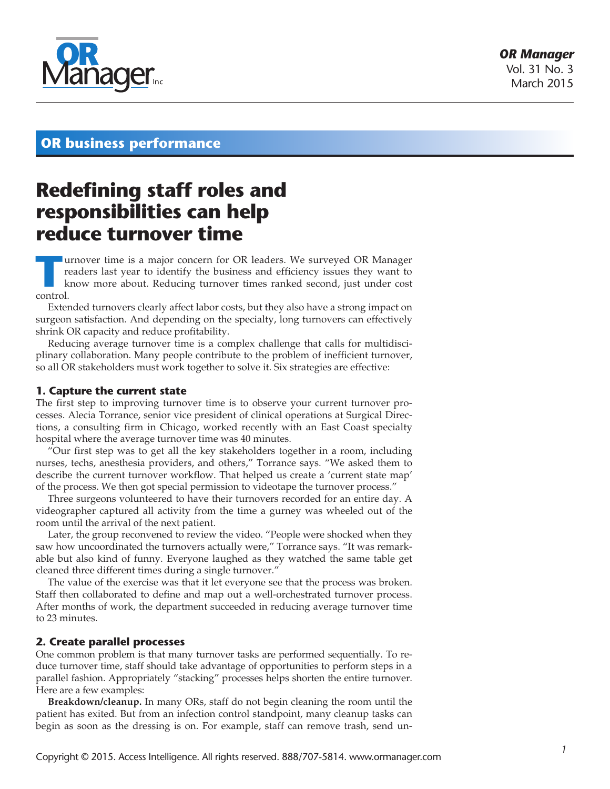

# **OR business performance**

# **Redefining staff roles and responsibilities can help reduce turnover time**

**TURN UNITED UNITED STATES IN EXECUTE 2015 IN SURFACE THE VIOLET STATES IN A Know more about. Reducing turnover times ranked second, just under cost control** readers last year to identify the business and efficiency issues they want to control.

Extended turnovers clearly affect labor costs, but they also have a strong impact on surgeon satisfaction. And depending on the specialty, long turnovers can effectively shrink OR capacity and reduce profitability.

Reducing average turnover time is a complex challenge that calls for multidisciplinary collaboration. Many people contribute to the problem of inefficient turnover, so all OR stakeholders must work together to solve it. Six strategies are effective:

#### **1. Capture the current state**

The first step to improving turnover time is to observe your current turnover processes. Alecia Torrance, senior vice president of clinical operations at Surgical Directions, a consulting firm in Chicago, worked recently with an East Coast specialty hospital where the average turnover time was 40 minutes.

"Our first step was to get all the key stakeholders together in a room, including nurses, techs, anesthesia providers, and others," Torrance says. "We asked them to describe the current turnover workflow. That helped us create a 'current state map' of the process. We then got special permission to videotape the turnover process."

Three surgeons volunteered to have their turnovers recorded for an entire day. A videographer captured all activity from the time a gurney was wheeled out of the room until the arrival of the next patient.

Later, the group reconvened to review the video. "People were shocked when they saw how uncoordinated the turnovers actually were," Torrance says. "It was remarkable but also kind of funny. Everyone laughed as they watched the same table get cleaned three different times during a single turnover."

The value of the exercise was that it let everyone see that the process was broken. Staff then collaborated to define and map out a well-orchestrated turnover process. After months of work, the department succeeded in reducing average turnover time to 23 minutes.

# **2. Create parallel processes**

One common problem is that many turnover tasks are performed sequentially. To reduce turnover time, staff should take advantage of opportunities to perform steps in a parallel fashion. Appropriately "stacking" processes helps shorten the entire turnover. Here are a few examples:

**Breakdown/cleanup.** In many ORs, staff do not begin cleaning the room until the patient has exited. But from an infection control standpoint, many cleanup tasks can begin as soon as the dressing is on. For example, staff can remove trash, send un-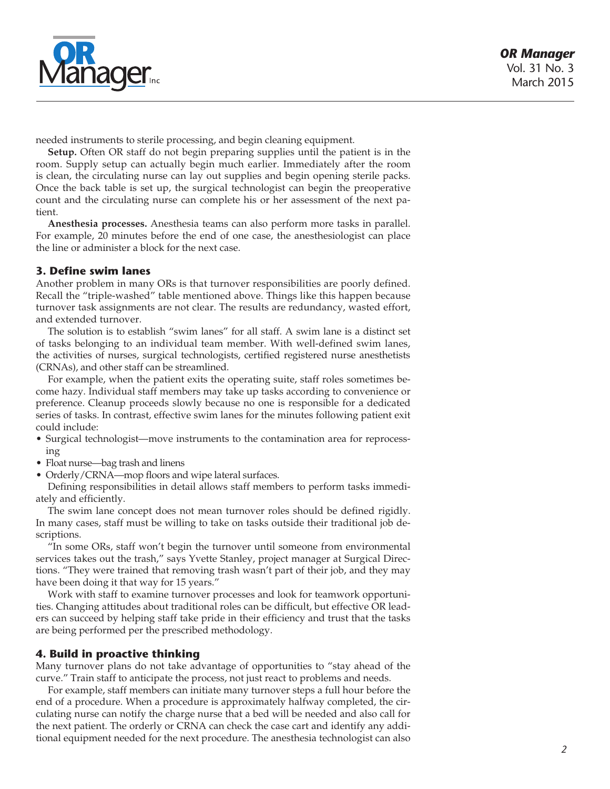

needed instruments to sterile processing, and begin cleaning equipment.

**Setup.** Often OR staff do not begin preparing supplies until the patient is in the room. Supply setup can actually begin much earlier. Immediately after the room is clean, the circulating nurse can lay out supplies and begin opening sterile packs. Once the back table is set up, the surgical technologist can begin the preoperative count and the circulating nurse can complete his or her assessment of the next patient.

**Anesthesia processes.** Anesthesia teams can also perform more tasks in parallel. For example, 20 minutes before the end of one case, the anesthesiologist can place the line or administer a block for the next case.

# **3. Define swim lanes**

Another problem in many ORs is that turnover responsibilities are poorly defined. Recall the "triple-washed" table mentioned above. Things like this happen because turnover task assignments are not clear. The results are redundancy, wasted effort, and extended turnover.

The solution is to establish "swim lanes" for all staff. A swim lane is a distinct set of tasks belonging to an individual team member. With well-defined swim lanes, the activities of nurses, surgical technologists, certified registered nurse anesthetists (CRNAs), and other staff can be streamlined.

For example, when the patient exits the operating suite, staff roles sometimes become hazy. Individual staff members may take up tasks according to convenience or preference. Cleanup proceeds slowly because no one is responsible for a dedicated series of tasks. In contrast, effective swim lanes for the minutes following patient exit could include:

- • Surgical technologist—move instruments to the contamination area for reprocessing
- Float nurse—bag trash and linens
- Orderly/CRNA—mop floors and wipe lateral surfaces.

Defining responsibilities in detail allows staff members to perform tasks immediately and efficiently.

The swim lane concept does not mean turnover roles should be defined rigidly. In many cases, staff must be willing to take on tasks outside their traditional job descriptions.

"In some ORs, staff won't begin the turnover until someone from environmental services takes out the trash," says Yvette Stanley, project manager at Surgical Directions. "They were trained that removing trash wasn't part of their job, and they may have been doing it that way for 15 years."

Work with staff to examine turnover processes and look for teamwork opportunities. Changing attitudes about traditional roles can be difficult, but effective OR leaders can succeed by helping staff take pride in their efficiency and trust that the tasks are being performed per the prescribed methodology.

# **4. Build in proactive thinking**

Many turnover plans do not take advantage of opportunities to "stay ahead of the curve." Train staff to anticipate the process, not just react to problems and needs.

For example, staff members can initiate many turnover steps a full hour before the end of a procedure. When a procedure is approximately halfway completed, the circulating nurse can notify the charge nurse that a bed will be needed and also call for the next patient. The orderly or CRNA can check the case cart and identify any additional equipment needed for the next procedure. The anesthesia technologist can also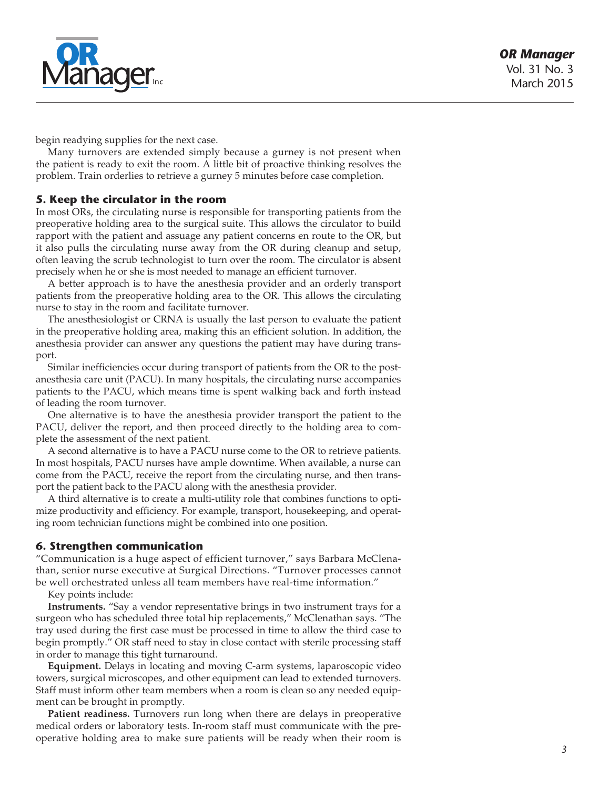

begin readying supplies for the next case.

Many turnovers are extended simply because a gurney is not present when the patient is ready to exit the room. A little bit of proactive thinking resolves the problem. Train orderlies to retrieve a gurney 5 minutes before case completion.

#### **5. Keep the circulator in the room**

In most ORs, the circulating nurse is responsible for transporting patients from the preoperative holding area to the surgical suite. This allows the circulator to build rapport with the patient and assuage any patient concerns en route to the OR, but it also pulls the circulating nurse away from the OR during cleanup and setup, often leaving the scrub technologist to turn over the room. The circulator is absent precisely when he or she is most needed to manage an efficient turnover.

A better approach is to have the anesthesia provider and an orderly transport patients from the preoperative holding area to the OR. This allows the circulating nurse to stay in the room and facilitate turnover.

The anesthesiologist or CRNA is usually the last person to evaluate the patient in the preoperative holding area, making this an efficient solution. In addition, the anesthesia provider can answer any questions the patient may have during transport.

Similar inefficiencies occur during transport of patients from the OR to the postanesthesia care unit (PACU). In many hospitals, the circulating nurse accompanies patients to the PACU, which means time is spent walking back and forth instead of leading the room turnover.

One alternative is to have the anesthesia provider transport the patient to the PACU, deliver the report, and then proceed directly to the holding area to complete the assessment of the next patient.

A second alternative is to have a PACU nurse come to the OR to retrieve patients. In most hospitals, PACU nurses have ample downtime. When available, a nurse can come from the PACU, receive the report from the circulating nurse, and then transport the patient back to the PACU along with the anesthesia provider.

A third alternative is to create a multi-utility role that combines functions to optimize productivity and efficiency. For example, transport, housekeeping, and operating room technician functions might be combined into one position.

#### **6. Strengthen communication**

"Communication is a huge aspect of efficient turnover," says Barbara McClenathan, senior nurse executive at Surgical Directions. "Turnover processes cannot be well orchestrated unless all team members have real-time information."

Key points include:

**Instruments.** "Say a vendor representative brings in two instrument trays for a surgeon who has scheduled three total hip replacements," McClenathan says. "The tray used during the first case must be processed in time to allow the third case to begin promptly." OR staff need to stay in close contact with sterile processing staff in order to manage this tight turnaround.

**Equipment.** Delays in locating and moving C-arm systems, laparoscopic video towers, surgical microscopes, and other equipment can lead to extended turnovers. Staff must inform other team members when a room is clean so any needed equipment can be brought in promptly.

**Patient readiness.** Turnovers run long when there are delays in preoperative medical orders or laboratory tests. In-room staff must communicate with the preoperative holding area to make sure patients will be ready when their room is